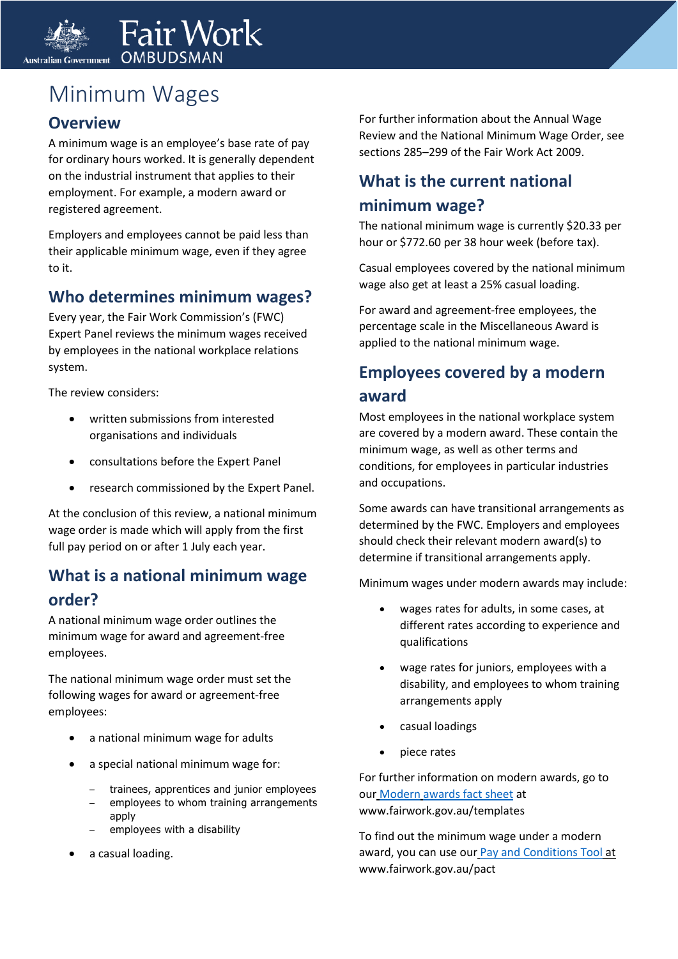

# Minimum Wages

#### **Overview**

A minimum wage is an employee's base rate of pay for ordinary hours worked. It is generally dependent on the industrial instrument that applies to their employment. For example, a modern award or registered agreement.

Employers and employees cannot be paid less than their applicable minimum wage, even if they agree to it.

#### **Who determines minimum wages?**

Every year, the Fair Work Commission's (FWC) Expert Panel reviews the minimum wages received by employees in the national workplace relations system.

The review considers:

- written submissions from interested organisations and individuals
- consultations before the Expert Panel
- research commissioned by the Expert Panel.

At the conclusion of this review, a national minimum wage order is made which will apply from the first full pay period on or after 1 July each year.

#### **What is a national minimum wage order?**

A national minimum wage order outlines the minimum wage for award and agreement-free employees.

The national minimum wage order must set the following wages for award or agreement-free employees:

- a national minimum wage for adults
- a special national minimum wage for:
	- trainees, apprentices and junior employees
	- employees to whom training arrangements apply
	- employees with a disability
- a casual loading.

For further information about the Annual Wage Review and the National Minimum Wage Order, see sections 285–299 of the Fair Work Act 2009.

### **What is the current national minimum wage?**

The national minimum wage is currently \$20.33 per hour or \$772.60 per 38 hour week (before tax).

Casual employees covered by the national minimum wage also get at least a 25% casual loading.

For award and agreement-free employees, the percentage scale in the Miscellaneous Award is applied to the national minimum wage.

## **Employees covered by a modern award**

Most employees in the national workplace system are covered by a modern award. These contain the minimum wage, as well as other terms and conditions, for employees in particular industries and occupations.

Some awards can have transitional arrangements as determined by the FWC. Employers and employees should check their relevant modern award(s) to determine if transitional arrangements apply.

Minimum wages under modern awards may include:

- wages rates for adults, in some cases, at different rates according to experience and qualifications
- wage rates for juniors, employees with a disability, and employees to whom training arrangements apply
- casual loadings
- piece rates

For further information on modern awards, go to our [Modern](https://www.fairwork.gov.au/how-we-will-help/templates-and-guides/fact-sheets/minimum-workplace-entitlements/minimum-wages) [awards fact sheet](https://www.fairwork.gov.au/how-we-will-help/templates-and-guides/fact-sheets/minimum-workplace-entitlements/minimum-wages) at www.fairwork.gov.au/templates

To find out the minimum wage under a modern award, you can use our [Pay and Conditions Tool](https://www.fairwork.gov.au/pact) at www.fairwork.gov.au/pact